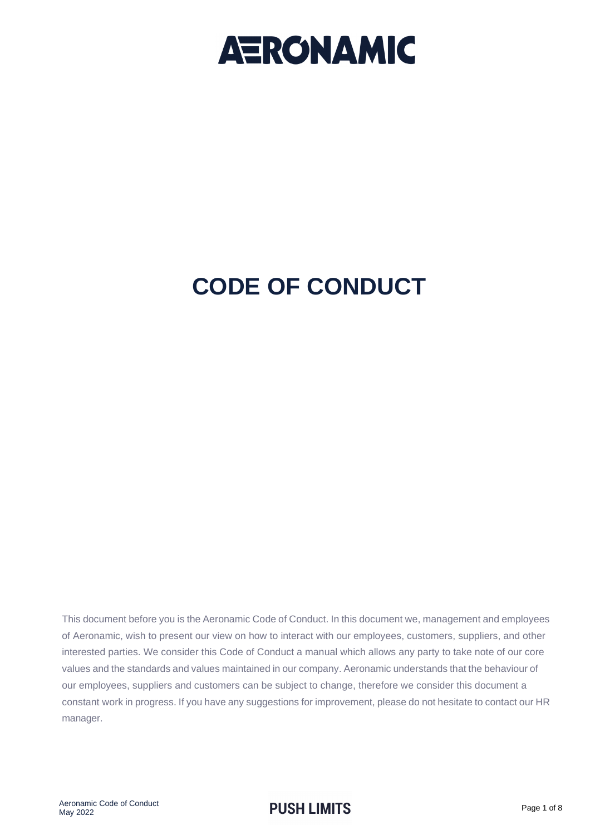

## **CODE OF CONDUCT**

This document before you is the Aeronamic Code of Conduct. In this document we, management and employees of Aeronamic, wish to present our view on how to interact with our employees, customers, suppliers, and other interested parties. We consider this Code of Conduct a manual which allows any party to take note of our core values and the standards and values maintained in our company. Aeronamic understands that the behaviour of our employees, suppliers and customers can be subject to change, therefore we consider this document a constant work in progress. If you have any suggestions for improvement, please do not hesitate to contact our HR manager.

### **PUSH LIMITS** Page 1 of 8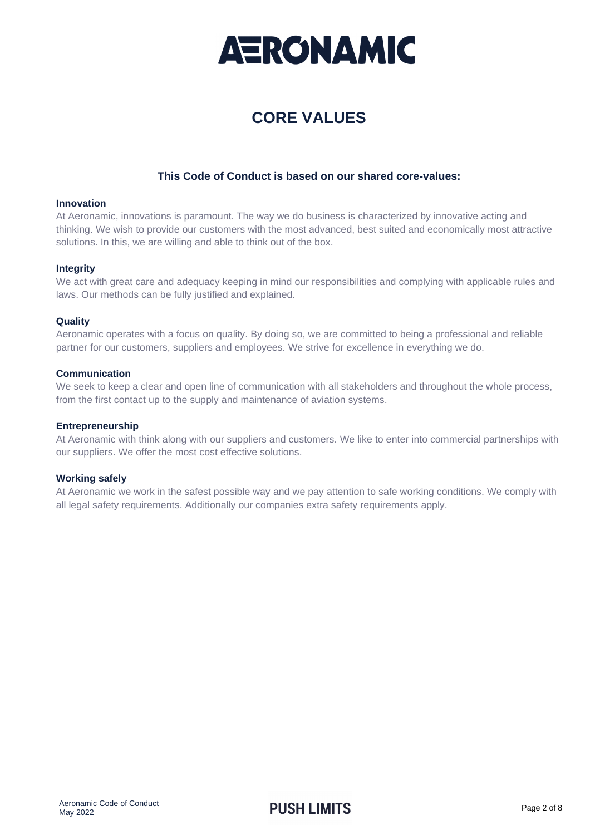

### **CORE VALUES**

### **This Code of Conduct is based on our shared core-values:**

#### **Innovation**

At Aeronamic, innovations is paramount. The way we do business is characterized by innovative acting and thinking. We wish to provide our customers with the most advanced, best suited and economically most attractive solutions. In this, we are willing and able to think out of the box.

### **Integrity**

We act with great care and adequacy keeping in mind our responsibilities and complying with applicable rules and laws. Our methods can be fully justified and explained.

### **Quality**

Aeronamic operates with a focus on quality. By doing so, we are committed to being a professional and reliable partner for our customers, suppliers and employees. We strive for excellence in everything we do.

### **Communication**

We seek to keep a clear and open line of communication with all stakeholders and throughout the whole process, from the first contact up to the supply and maintenance of aviation systems.

### **Entrepreneurship**

At Aeronamic with think along with our suppliers and customers. We like to enter into commercial partnerships with our suppliers. We offer the most cost effective solutions.

### **Working safely**

At Aeronamic we work in the safest possible way and we pay attention to safe working conditions. We comply with all legal safety requirements. Additionally our companies extra safety requirements apply.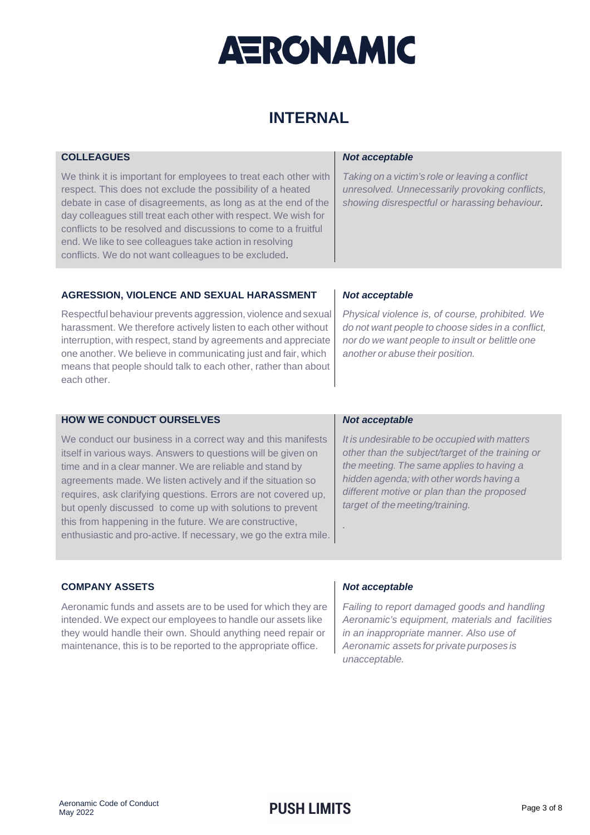

### **INTERNAL**

| <b>COLLEAGUES</b>                                                                                                                                                                                                                                                                                                                                                                                                                                      | <b>Not acceptable</b>                                                                                                                                   |
|--------------------------------------------------------------------------------------------------------------------------------------------------------------------------------------------------------------------------------------------------------------------------------------------------------------------------------------------------------------------------------------------------------------------------------------------------------|---------------------------------------------------------------------------------------------------------------------------------------------------------|
| We think it is important for employees to treat each other with<br>respect. This does not exclude the possibility of a heated<br>debate in case of disagreements, as long as at the end of the<br>day colleagues still treat each other with respect. We wish for<br>conflicts to be resolved and discussions to come to a fruitful<br>end. We like to see colleagues take action in resolving<br>conflicts. We do not want colleagues to be excluded. | Taking on a victim's role or leaving a conflict<br>unresolved. Unnecessarily provoking conflicts,<br>showing disrespectful or harassing behaviour.      |
|                                                                                                                                                                                                                                                                                                                                                                                                                                                        |                                                                                                                                                         |
| AGRESSION, VIOLENCE AND SEXUAL HARASSMENT                                                                                                                                                                                                                                                                                                                                                                                                              | Not acceptable                                                                                                                                          |
| Respectful behaviour prevents aggression, violence and sexual<br>harassment. We therefore actively listen to each other without<br>interruption, with respect, stand by agreements and appreciate                                                                                                                                                                                                                                                      | Physical violence is, of course, prohibited. We<br>do not want people to choose sides in a conflict,<br>nor do we want people to insult or belittle one |
| one another. We believe in communicating just and fair, which<br>means that people should talk to each other, rather than about<br>each other.                                                                                                                                                                                                                                                                                                         | another or abuse their position.                                                                                                                        |
| <b>HOW WE CONDUCT OURSELVES</b>                                                                                                                                                                                                                                                                                                                                                                                                                        | <b>Not acceptable</b>                                                                                                                                   |

We conduct our business in a correct way and this manifests itself in various ways. Answers to questions will be given on time and in a clear manner. We are reliable and stand by agreements made. We listen actively and if the situation so requires, ask clarifying questions. Errors are not covered up, but openly discussed to come up with solutions to prevent this from happening in the future. We are constructive, enthusiastic and pro-active. If necessary, we go the extra mile.

It is undesirable to be occupied with matters other than the subject/target of the training or the meeting. The same applies to having a hidden agenda; with other words having a different motive or plan than the proposed target of the meeting/training.

### **COMPANY ASSETS**

Aeronamic funds and assets are to be used for which they are intended. We expect our employees to handle our assets like they would handle their own. Should anything need repair or maintenance, this is to be reported to the appropriate office.

### **Not acceptable**

.

Failing to report damaged goods and handling Aeronamic's equipment, materials and facilities in an inappropriate manner. Also use of Aeronamic assets for private purposes is unacceptable.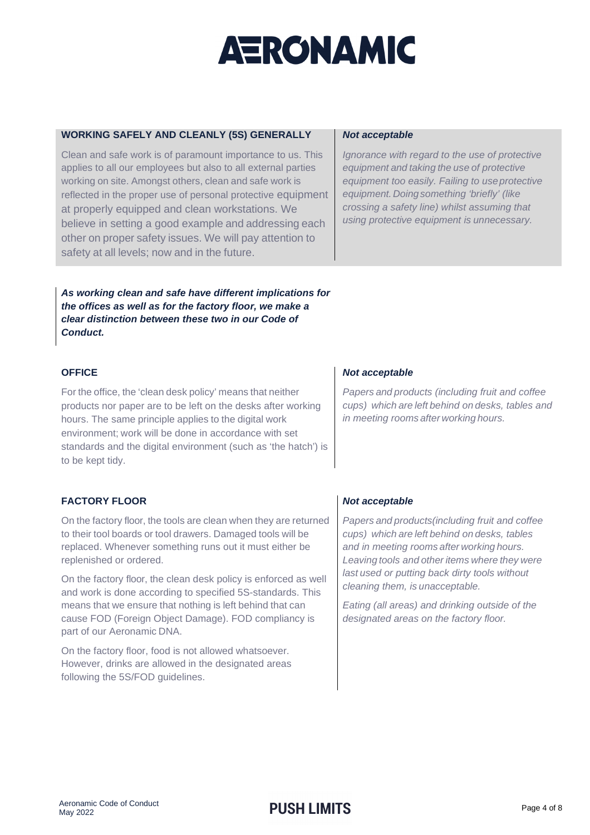### **WORKING SAFELY AND CLEANLY (5S) GENERALLY**

Clean and safe work is of paramount importance to us. This applies to all our employees but also to all external parties working on site. Amongst others, clean and safe work is reflected in the proper use of personal protective equipment at properly equipped and clean workstations. We believe in setting a good example and addressing each other on proper safety issues. We will pay attention to safety at all levels; now and in the future.

### **Not acceptable**

Ignorance with regard to the use of protective equipment and taking the use of protective equipment too easily. Failing to use protective equipment. Doing something 'briefly' (like crossing a safety line) whilst assuming that using protective equipment is unnecessary.

**As working clean and safe have different implications for the offices as well as for the factory floor, we make a clear distinction between these two in our Code of Conduct.**

### **OFFICE**

For the office, the 'clean desk policy' means that neither products nor paper are to be left on the desks after working hours. The same principle applies to the digital work environment; work will be done in accordance with set standards and the digital environment (such as 'the hatch') is to be kept tidy.

### **FACTORY FLOOR**

On the factory floor, the tools are clean when they are returned to their tool boards or tool drawers. Damaged tools will be replaced. Whenever something runs out it must either be replenished or ordered.

On the factory floor, the clean desk policy is enforced as well and work is done according to specified 5S-standards. This means that we ensure that nothing is left behind that can cause FOD (Foreign Object Damage). FOD compliancy is part of our Aeronamic DNA.

On the factory floor, food is not allowed whatsoever. However, drinks are allowed in the designated areas following the 5S/FOD guidelines.

### **Not acceptable**

Papers and products (including fruit and coffee cups) which are left behind on desks, tables and in meeting rooms after working hours.

### **Not acceptable**

Papers and products(including fruit and coffee cups) which are left behind on desks, tables and in meeting rooms after working hours. Leaving tools and other items where they were last used or putting back dirty tools without cleaning them, is unacceptable.

Eating (all areas) and drinking outside of the designated areas on the factory floor.

### **PUSH LIMITS** Page 4 of 8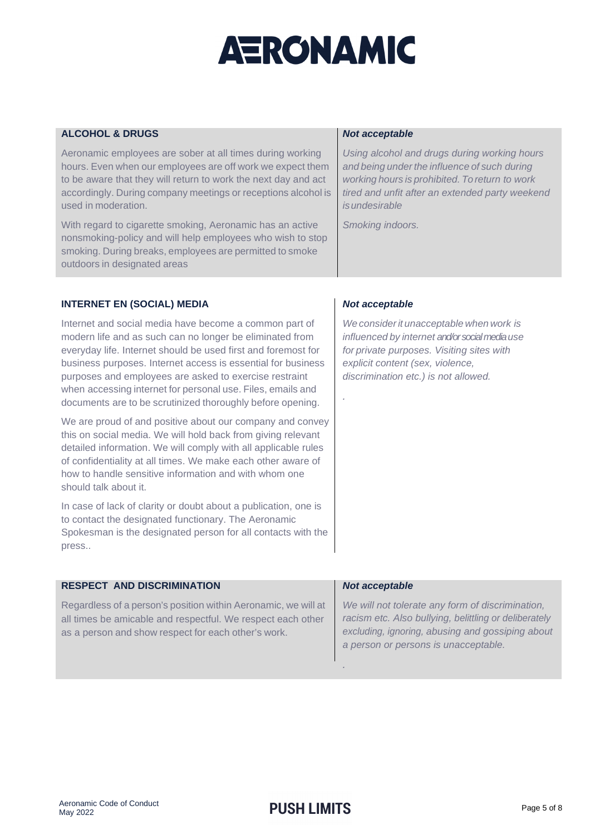| <b>ALCOHOL &amp; DRUGS</b>                                                                                                                                                                                                                                                                                                                                                                                                                 | <b>Not acceptable</b>                                                                                                                                                                                               |
|--------------------------------------------------------------------------------------------------------------------------------------------------------------------------------------------------------------------------------------------------------------------------------------------------------------------------------------------------------------------------------------------------------------------------------------------|---------------------------------------------------------------------------------------------------------------------------------------------------------------------------------------------------------------------|
| Aeronamic employees are sober at all times during working<br>hours. Even when our employees are off work we expect them<br>to be aware that they will return to work the next day and act<br>accordingly. During company meetings or receptions alcohol is<br>used in moderation.                                                                                                                                                          | Using alcohol and drugs during working hours<br>and being under the influence of such during<br>working hours is prohibited. To return to work<br>tired and unfit after an extended party weekend<br>is undesirable |
| With regard to cigarette smoking, Aeronamic has an active<br>nonsmoking-policy and will help employees who wish to stop<br>smoking. During breaks, employees are permitted to smoke<br>outdoors in designated areas                                                                                                                                                                                                                        | Smoking indoors.                                                                                                                                                                                                    |
|                                                                                                                                                                                                                                                                                                                                                                                                                                            |                                                                                                                                                                                                                     |
| <b>INTERNET EN (SOCIAL) MEDIA</b>                                                                                                                                                                                                                                                                                                                                                                                                          | Not acceptable                                                                                                                                                                                                      |
| Internet and social media have become a common part of<br>modern life and as such can no longer be eliminated from<br>everyday life. Internet should be used first and foremost for<br>business purposes. Internet access is essential for business<br>purposes and employees are asked to exercise restraint<br>when accessing internet for personal use. Files, emails and<br>documents are to be scrutinized thoroughly before opening. | We consider it unacceptable when work is<br>influenced by internet and/or social media use<br>for private purposes. Visiting sites with<br>explicit content (sex, violence,<br>discrimination etc.) is not allowed. |
| We are proud of and positive about our company and convey<br>this on social media. We will hold back from giving relevant<br>detailed information. We will comply with all applicable rules<br>of confidentiality at all times. We make each other aware of<br>how to handle sensitive information and with whom one<br>should talk about it.                                                                                              |                                                                                                                                                                                                                     |
| In case of lack of clarity or doubt about a publication, one is<br>to contact the designated functionary. The Aeronamic<br>Spokesman is the designated person for all contacts with the<br>press                                                                                                                                                                                                                                           |                                                                                                                                                                                                                     |
| <b>RESPECT AND DISCRIMINATION</b>                                                                                                                                                                                                                                                                                                                                                                                                          | <b>Not acceptable</b>                                                                                                                                                                                               |
| Regardless of a person's position within Aeronamic, we will at<br>all times be amicable and respectful. We respect each other<br>as a person and show respect for each other's work.                                                                                                                                                                                                                                                       | We will not tolerate any form of discrimination,<br>racism etc. Also bullying, belittling or deliberately<br>excluding, ignoring, abusing and gossiping about<br>a person or persons is unacceptable.               |

.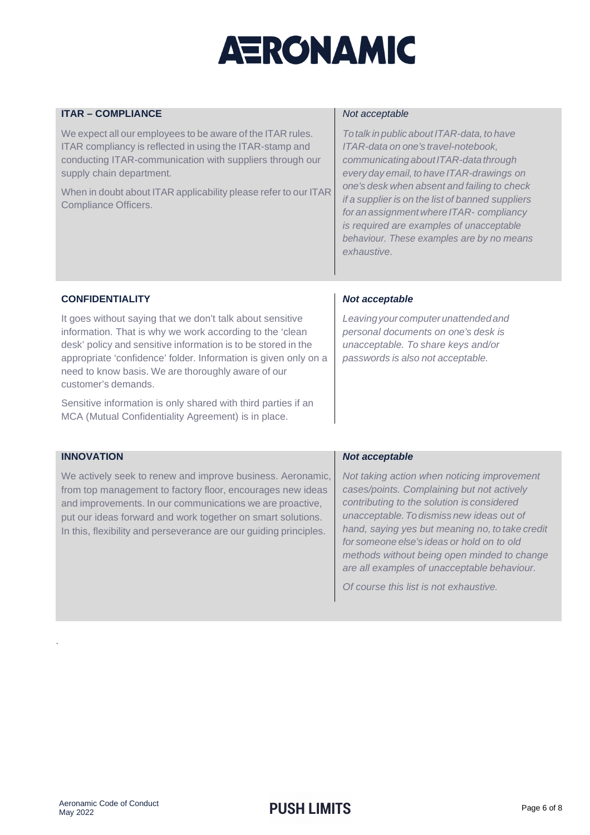### **ITAR – COMPLIANCE**

We expect all our employees to be aware of the ITAR rules. ITAR compliancy is reflected in using the ITAR-stamp and conducting ITAR-communication with suppliers through our supply chain department.

When in doubt about ITAR applicability please refer to our ITAR Compliance Officers.

#### Not acceptable

To talk in public about ITAR-data, to have ITAR-data on one's travel-notebook, communicating about ITAR-data through every day email, to have ITAR-drawings on one's desk when absent and failing to check if a supplier is on the list of banned suppliers for an assignment where ITAR- compliancy is required are examples of unacceptable behaviour. These examples are by no means exhaustive.

### **CONFIDENTIALITY**

It goes without saying that we don't talk about sensitive information. That is why we work according to the 'clean desk' policy and sensitive information is to be stored in the appropriate 'confidence' folder. Information is given only on a need to know basis. We are thoroughly aware of our customer's demands.

Sensitive information is only shared with third parties if an MCA (Mutual Confidentiality Agreement) is in place.

### **Not acceptable**

Leaving your computer unattended and personal documents on one's desk is unacceptable. To share keys and/or passwords is also not acceptable.

### **INNOVATION**

.

We actively seek to renew and improve business. Aeronamic, from top management to factory floor, encourages new ideas and improvements. In our communications we are proactive, put our ideas forward and work together on smart solutions. In this, flexibility and perseverance are our guiding principles.

#### **Not acceptable**

Not taking action when noticing improvement cases/points. Complaining but not actively contributing to the solution is considered unacceptable. To dismiss new ideas out of hand, saying yes but meaning no, to take credit for someone else's ideas or hold on to old methods without being open minded to change are all examples of unacceptable behaviour.

Of course this list is not exhaustive.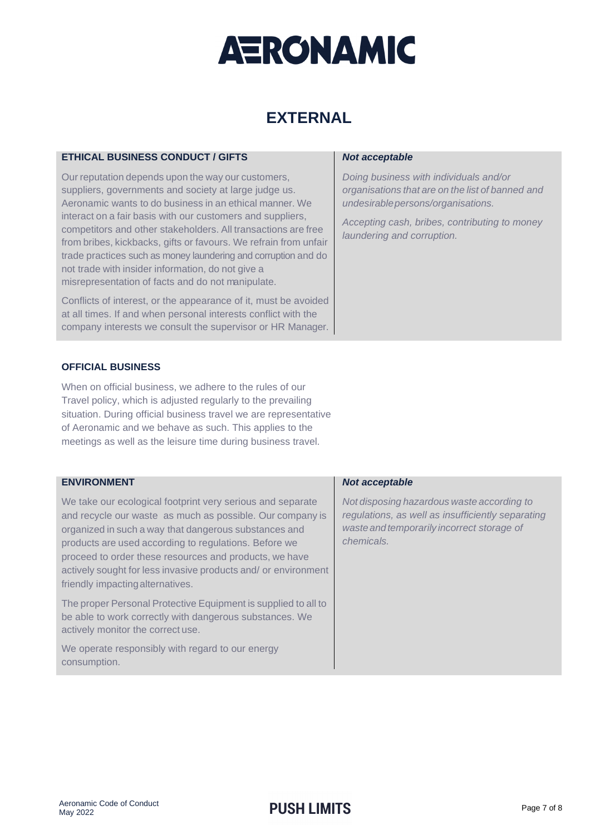## **EXTERNAL**

### **ETHICAL BUSINESS CONDUCT / GIFTS**

Our reputation depends upon the way our customers, suppliers, governments and society at large judge us. Aeronamic wants to do business in an ethical manner. We interact on a fair basis with our customers and suppliers, competitors and other stakeholders. All transactions are free from bribes, kickbacks, gifts or favours. We refrain from unfair trade practices such as money laundering and corruption and do not trade with insider information, do not give a misrepresentation of facts and do not manipulate.

Conflicts of interest, or the appearance of it, must be avoided at all times. If and when personal interests conflict with the company interests we consult the supervisor or HR Manager.

### **OFFICIAL BUSINESS**

When on official business, we adhere to the rules of our Travel policy, which is adjusted regularly to the prevailing situation. During official business travel we are representative of Aeronamic and we behave as such. This applies to the meetings as well as the leisure time during business travel.

### **ENVIRONMENT**

We take our ecological footprint very serious and separate and recycle our waste as much as possible. Our company is organized in such a way that dangerous substances and products are used according to regulations. Before we proceed to order these resources and products, we have actively sought for less invasive products and/ or environment friendly impacting alternatives.

The proper Personal Protective Equipment is supplied to all to be able to work correctly with dangerous substances. We actively monitor the correct use.

We operate responsibly with regard to our energy consumption.

### **Not acceptable**

Doing business with individuals and/or organisations that are on the list of banned and undesirable persons/organisations.

Accepting cash, bribes, contributing to money laundering and corruption.

### **Not acceptable**

Not disposing hazardous waste according to regulations, as well as insufficiently separating waste and temporarily incorrect storage of chemicals.

### **PUSH LIMITS** Page 7 of 8